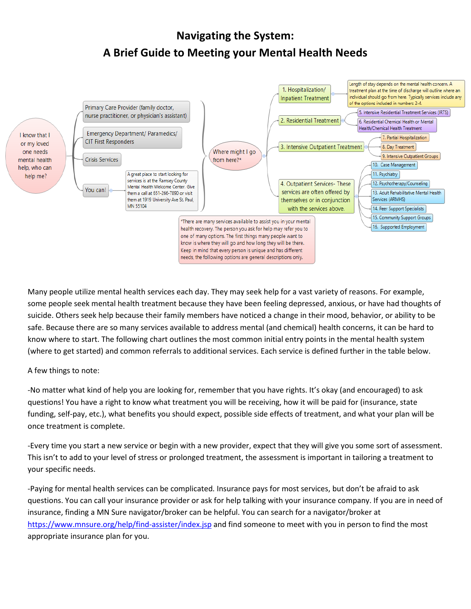## **Navigating the System: A Brief Guide to Meeting your Mental Health Needs**



Many people utilize mental health services each day. They may seek help for a vast variety of reasons. For example, some people seek mental health treatment because they have been feeling depressed, anxious, or have had thoughts of suicide. Others seek help because their family members have noticed a change in their mood, behavior, or ability to be safe. Because there are so many services available to address mental (and chemical) health concerns, it can be hard to know where to start. The following chart outlines the most common initial entry points in the mental health system (where to get started) and common referrals to additional services. Each service is defined further in the table below.

## A few things to note:

-No matter what kind of help you are looking for, remember that you have rights. It's okay (and encouraged) to ask questions! You have a right to know what treatment you will be receiving, how it will be paid for (insurance, state funding, self-pay, etc.), what benefits you should expect, possible side effects of treatment, and what your plan will be once treatment is complete.

-Every time you start a new service or begin with a new provider, expect that they will give you some sort of assessment. This isn't to add to your level of stress or prolonged treatment, the assessment is important in tailoring a treatment to your specific needs.

-Paying for mental health services can be complicated. Insurance pays for most services, but don't be afraid to ask questions. You can call your insurance provider or ask for help talking with your insurance company. If you are in need of insurance, finding a MN Sure navigator/broker can be helpful. You can search for a navigator/broker at <https://www.mnsure.org/help/find-assister/index.jsp> and find someone to meet with you in person to find the most appropriate insurance plan for you.